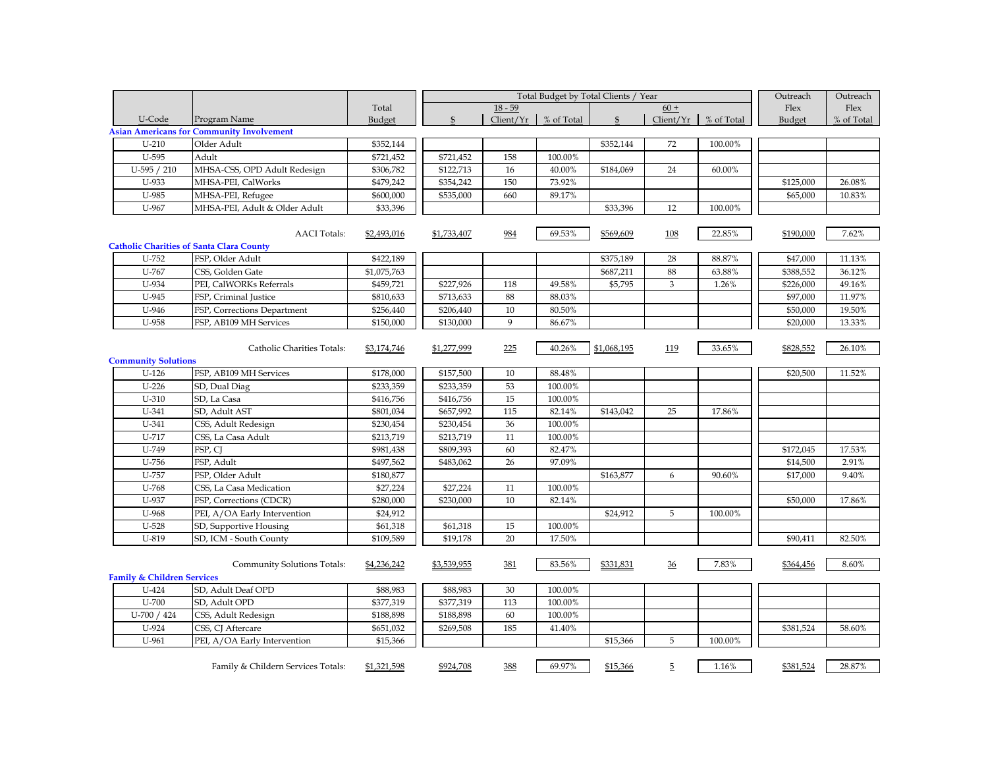|                                       |                                                                        |                         |              | Outreach     | Outreach   |                |             |            |           |            |
|---------------------------------------|------------------------------------------------------------------------|-------------------------|--------------|--------------|------------|----------------|-------------|------------|-----------|------------|
|                                       |                                                                        | Total                   |              | $18 - 59$    |            |                | $60 +$      |            | Flex      | Flex       |
| U-Code                                | Program Name                                                           | Budget                  | $\mathbb{S}$ | Client/Yr    | % of Total | $\mathfrak{L}$ | Client/Yr   | % of Total | Budget    | % of Total |
|                                       | <b>Asian Americans for Community Involvement</b>                       | \$352,144               |              |              |            |                |             |            |           |            |
|                                       | $U-210$<br>Older Adult                                                 |                         |              |              |            | \$352,144      | 72          | 100.00%    |           |            |
| U-595                                 | Adult                                                                  | \$721,452               | \$721,452    | 158          | 100.00%    |                |             |            |           |            |
| U-595 / 210                           | MHSA-CSS, OPD Adult Redesign                                           | \$306,782               | \$122,713    | 16           | 40.00%     | \$184,069      | 24          | 60.00%     |           |            |
| U-933                                 | MHSA-PEI, CalWorks                                                     | \$479,242               | \$354,242    | 150          | 73.92%     |                |             |            | \$125,000 | 26.08%     |
| U-985                                 | MHSA-PEI, Refugee                                                      | \$600,000               | \$535,000    | 660          | 89.17%     |                |             |            | \$65,000  | 10.83%     |
| U-967                                 | MHSA-PEI, Adult & Older Adult                                          | \$33,396                |              |              |            | \$33,396       | 12          | 100.00%    |           |            |
|                                       | <b>AACI</b> Totals:<br><b>Catholic Charities of Santa Clara County</b> | \$2,493,016             | \$1,733,407  | 984          | 69.53%     | \$569,609      | 108         | 22.85%     | \$190,000 | 7.62%      |
| U-752                                 | FSP, Older Adult                                                       | \$422,189               |              |              |            | \$375,189      | 28          | 88.87%     | \$47,000  | 11.13%     |
| U-767                                 | CSS, Golden Gate                                                       | \$1,075,763             |              |              |            | \$687,211      | 88          | 63.88%     | \$388,552 | 36.12%     |
| U-934                                 | PEI, CalWORKs Referrals                                                | \$459,721               | \$227,926    | 118          | 49.58%     | \$5,795        | 3           | 1.26%      | \$226,000 | 49.16%     |
| U-945                                 | FSP, Criminal Justice                                                  | \$810,633               | \$713,633    | 88           | 88.03%     |                |             |            | \$97,000  | 11.97%     |
| U-946                                 | FSP, Corrections Department                                            | \$256,440               | \$206,440    | 10           | 80.50%     |                |             |            | \$50,000  | 19.50%     |
| U-958                                 | FSP, AB109 MH Services                                                 | \$150,000               | \$130,000    | $\mathbf{Q}$ | 86.67%     |                |             |            | \$20,000  | 13.33%     |
| <b>Community Solutions</b>            | Catholic Charities Totals:                                             | \$3,174,746             | \$1,277,999  | 225          | 40.26%     | \$1,068,195    | 119         | 33.65%     | \$828,552 | 26.10%     |
| $U-126$                               | FSP, AB109 MH Services                                                 | \$178,000               | \$157,500    | 10           | 88.48%     |                |             |            | \$20,500  | 11.52%     |
| $U-226$                               | SD, Dual Diag                                                          | \$233,359               | \$233,359    | 53           | 100.00%    |                |             |            |           |            |
| $U-310$                               | SD, La Casa                                                            | \$416,756               | \$416,756    | 15           | 100.00%    |                |             |            |           |            |
| U-341                                 | SD, Adult AST                                                          | \$801,034               | \$657,992    | 115          | 82.14%     | \$143,042      | 25          | 17.86%     |           |            |
| U-341                                 | CSS, Adult Redesign                                                    | \$230,454               | \$230,454    | 36           | 100.00%    |                |             |            |           |            |
| U-717                                 | CSS, La Casa Adult                                                     | \$213,719               | \$213,719    | 11           | 100.00%    |                |             |            |           |            |
| U-749                                 | FSP, CJ                                                                | \$981,438               | \$809,393    | 60           | 82.47%     |                |             |            | \$172,045 | 17.53%     |
| U-756                                 | FSP, Adult                                                             | \$497,562               | \$483,062    | 26           | 97.09%     |                |             |            | \$14,500  | 2.91%      |
| U-757                                 | FSP, Older Adult                                                       | \$180,877               |              |              |            | \$163,877      | 6           | 90.60%     | \$17,000  | 9.40%      |
| U-768                                 | CSS, La Casa Medication                                                | \$27,224                | \$27,224     | 11           | 100.00%    |                |             |            |           |            |
| U-937                                 | FSP, Corrections (CDCR)                                                | \$280,000               | \$230,000    | 10           | 82.14%     |                |             |            | \$50,000  | 17.86%     |
| U-968                                 | PEI, A/OA Early Intervention                                           | \$24,912                |              |              |            | \$24,912       | $\mathbf 5$ | 100.00%    |           |            |
| U-528                                 | SD, Supportive Housing                                                 | \$61,318                | \$61,318     | 15           | 100.00%    |                |             |            |           |            |
| U-819                                 | SD, ICM - South County                                                 | \$109,589               | \$19,178     | 20           | 17.50%     |                |             |            | \$90,411  | 82.50%     |
| <b>Family &amp; Children Services</b> | Community Solutions Totals:                                            | \$4,236,242<br>\$88,983 | \$3,539,955  | 381          | 83.56%     | \$331,831      | 36          | 7.83%      | \$364,456 | 8.60%      |
| U-424                                 | SD, Adult Deaf OPD                                                     |                         | \$88,983     | 30           | 100.00%    |                |             |            |           |            |
| U-700                                 | SD, Adult OPD<br>\$377,319                                             |                         | \$377,319    | 113          | 100.00%    |                |             |            |           |            |
| U-700 / 424                           | CSS, Adult Redesign<br>\$188,898                                       |                         | \$188,898    | 60           | 100.00%    |                |             |            |           |            |
| U-924                                 | CSS, CJ Aftercare                                                      | \$651,032               | \$269,508    | 185          | 41.40%     |                |             |            | \$381,524 | 58.60%     |
| U-961                                 | PEI, A/OA Early Intervention                                           | \$15,366                |              |              |            | \$15,366       | 5           | 100.00%    |           |            |
|                                       | Family & Childern Services Totals:                                     | \$1,321,598             | \$924,708    | 388          | 69.97%     | \$15,366       | 5           | 1.16%      | \$381,524 | 28.87%     |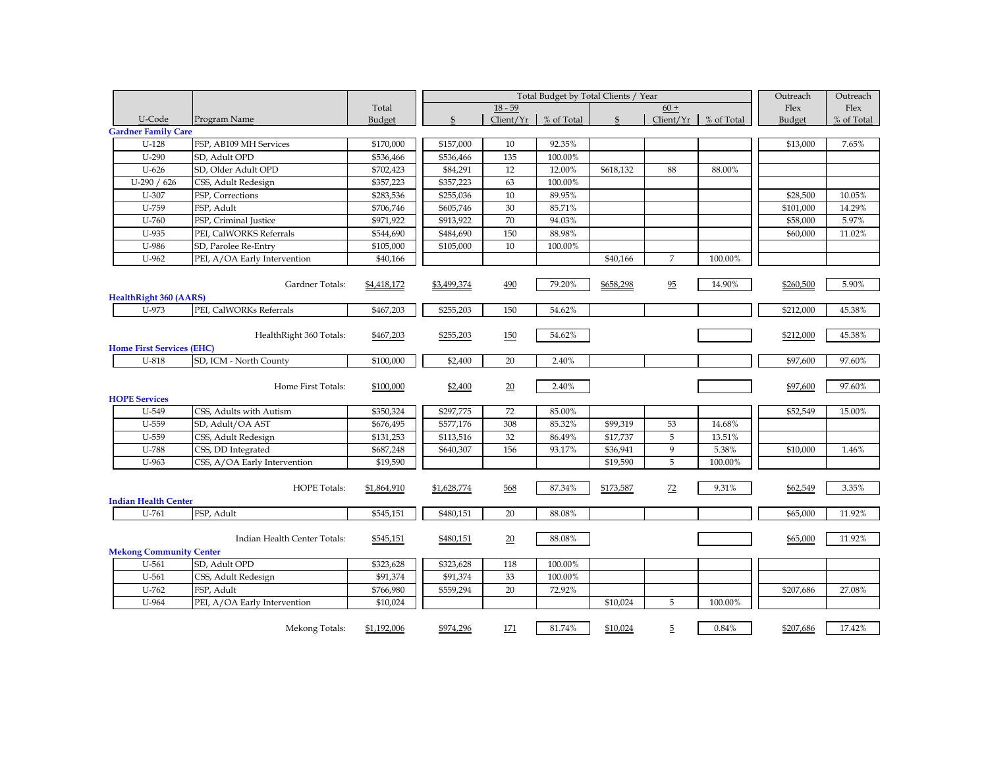|                                  |                              |             |               | Outreach  | Outreach   |           |                |            |           |            |
|----------------------------------|------------------------------|-------------|---------------|-----------|------------|-----------|----------------|------------|-----------|------------|
|                                  |                              | Total       |               | $18 - 59$ |            |           | $60 +$         |            | Flex      | Flex       |
| U-Code                           | Program Name                 | Budget      | $\mathcal{S}$ | Client/Yr | % of Total |           | Client/Yr      | % of Total | Budget    | % of Total |
| <b>Gardner Family Care</b>       |                              |             |               |           |            |           |                |            |           |            |
| $U-128$                          | FSP, AB109 MH Services       |             | \$157,000     | 10        | 92.35%     |           |                |            | \$13,000  | 7.65%      |
| $U-290$                          | SD, Adult OPD                | \$536,466   | \$536,466     | 135       | 100.00%    |           |                |            |           |            |
| $U-626$                          | SD, Older Adult OPD          | \$702,423   | \$84,291      | 12        | 12.00%     | \$618,132 | 88             | 88.00%     |           |            |
| U-290 / 626                      | CSS, Adult Redesign          | \$357,223   | \$357,223     | 63        | 100.00%    |           |                |            |           |            |
| $U-307$                          | FSP, Corrections             | \$283,536   | \$255,036     | 10        | 89.95%     |           |                |            | \$28,500  | 10.05%     |
| U-759                            | FSP, Adult                   | \$706,746   | \$605,746     | $30\,$    | 85.71%     |           |                |            | \$101,000 | 14.29%     |
| $U-760$                          | FSP, Criminal Justice        | \$971,922   | \$913,922     | 70        | 94.03%     |           |                |            | \$58,000  | 5.97%      |
| U-935                            | PEI, CalWORKS Referrals      | \$544,690   | \$484,690     | 150       | 88.98%     |           |                |            | \$60,000  | 11.02%     |
| U-986                            | SD, Parolee Re-Entry         | \$105,000   | \$105,000     | 10        | 100.00%    |           |                |            |           |            |
| $U-962$                          | PEI, A/OA Early Intervention | \$40,166    |               |           |            | \$40,166  | $\overline{7}$ | 100.00%    |           |            |
|                                  |                              |             |               |           |            |           |                |            |           |            |
|                                  | Gardner Totals:              | \$4,418,172 | \$3,499,374   | 490       | 79.20%     | \$658,298 | 95             | 14.90%     | \$260,500 | 5.90%      |
| <b>HealthRight 360 (AARS)</b>    |                              |             |               |           |            |           |                |            |           |            |
| U-973                            | PEI, CalWORKs Referrals      | \$467,203   | \$255,203     | 150       | 54.62%     |           |                |            | \$212,000 | 45.38%     |
|                                  |                              |             |               |           |            |           |                |            |           |            |
|                                  | HealthRight 360 Totals:      | \$467,203   | \$255,203     | 150       | 54.62%     |           |                |            | \$212,000 | 45.38%     |
| <b>Home First Services (EHC)</b> |                              |             |               |           |            |           |                |            |           |            |
| $U-818$                          | SD, ICM - North County       | \$100,000   | \$2,400       | 20        | 2.40%      |           |                |            | \$97,600  | 97.60%     |
|                                  |                              |             |               |           |            |           |                |            |           |            |
|                                  | Home First Totals:           | \$100,000   | \$2,400       | 20        | 2.40%      |           |                |            | \$97,600  | 97.60%     |
| <b>HOPE Services</b>             |                              |             |               |           |            |           |                |            |           |            |
| U-549                            | CSS, Adults with Autism      | \$350,324   | \$297,775     | 72        | 85.00%     |           |                |            | \$52,549  | 15.00%     |
| U-559                            | SD, Adult/OA AST             | \$676,495   | \$577,176     | 308       | 85.32%     | \$99,319  | 53             | 14.68%     |           |            |
| U-559                            | CSS, Adult Redesign          | \$131,253   | \$113,516     | 32        | 86.49%     | \$17,737  | 5              | 13.51%     |           |            |
| U-788                            | CSS, DD Integrated           | \$687,248   | \$640,307     | 156       | 93.17%     | \$36,941  | 9              | 5.38%      | \$10,000  | 1.46%      |
| U-963                            | CSS, A/OA Early Intervention | \$19,590    |               |           |            | \$19,590  | 5              | 100.00%    |           |            |
|                                  |                              |             |               |           |            |           |                |            |           |            |
|                                  | <b>HOPE Totals:</b>          | \$1,864,910 | \$1,628,774   | 568       | 87.34%     | \$173,587 | 72             | 9.31%      | \$62,549  | 3.35%      |
| <b>Indian Health Center</b>      |                              |             |               |           |            |           |                |            |           |            |
| $U-761$                          | FSP, Adult                   | \$545,151   | \$480,151     | 20        | 88.08%     |           |                |            | \$65,000  | 11.92%     |
|                                  |                              |             |               |           |            |           |                |            |           |            |
|                                  | Indian Health Center Totals: | \$545,151   | \$480,151     | 20        | 88.08%     |           |                |            | \$65,000  | 11.92%     |
| <b>Mekong Community Center</b>   |                              |             |               |           |            |           |                |            |           |            |
| $U-561$                          | SD, Adult OPD                | \$323,628   | \$323,628     | 118       | 100.00%    |           |                |            |           |            |
| U-561                            | CSS, Adult Redesign          | \$91,374    | \$91,374      | 33        | 100.00%    |           |                |            |           |            |
| $U-762$                          | FSP. Adult<br>\$766,980      |             | \$559,294     | 20        | 72.92%     |           |                |            | \$207,686 | 27.08%     |
| U-964                            | PEI, A/OA Early Intervention | \$10,024    |               |           |            | \$10,024  | 5              | 100.00%    |           |            |
|                                  |                              |             |               |           |            |           |                |            |           |            |
|                                  | Mekong Totals:               | \$1,192,006 | \$974,296     | 171       | 81.74%     | \$10,024  | $\overline{5}$ | 0.84%      | \$207,686 | 17.42%     |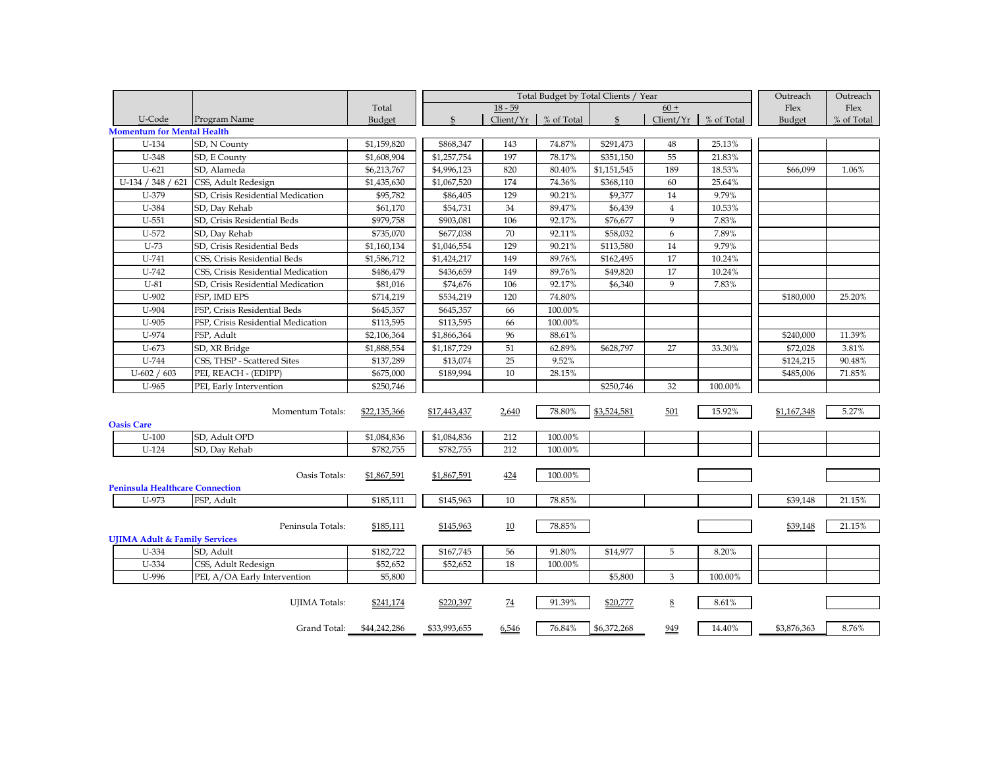|                                          |                                         |                        |                | Total Budget by Total Clients / Year | Outreach   | Outreach           |                |            |             |            |
|------------------------------------------|-----------------------------------------|------------------------|----------------|--------------------------------------|------------|--------------------|----------------|------------|-------------|------------|
|                                          |                                         | Total                  |                | $18 - 59$                            |            |                    | $60 +$         |            | Flex        | Flex       |
| U-Code                                   | Program Name                            | Budget                 | $\mathfrak{S}$ | Client/Yr                            | % of Total | $\mathbf{\hat{S}}$ | Client/Yr      | % of Total | Budget      | % of Total |
| <b>Momentum for Mental Health</b>        |                                         |                        |                |                                      |            |                    |                |            |             |            |
| U-134                                    | SD, N County                            | $\overline{1,}159,820$ | \$868,347      | 143                                  | 74.87%     | \$291,473          | 48             | 25.13%     |             |            |
| U-348                                    | SD, E County                            | \$1,608,904            | \$1,257,754    | 197                                  | 78.17%     | \$351,150          | 55             | 21.83%     |             |            |
| $U-621$                                  | SD, Alameda                             | \$6,213,767            | \$4,996,123    | 820                                  | 80.40%     | \$1,151,545        | 189            | 18.53%     | \$66,099    | 1.06%      |
| U-134 / 348 / 621                        | CSS, Adult Redesign                     | \$1,435,630            | \$1,067,520    | 174                                  | 74.36%     | \$368,110          | 60             | 25.64%     |             |            |
| U-379                                    | SD, Crisis Residential Medication       | \$95,782               | \$86,405       | 129                                  | 90.21%     | \$9,377            | 14             | 9.79%      |             |            |
| U-384                                    | SD, Day Rehab                           | \$61,170               | \$54,731       | 34                                   | 89.47%     | \$6,439            | $\overline{4}$ | 10.53%     |             |            |
| $U-551$                                  | SD, Crisis Residential Beds             | \$979,758              | \$903,081      | 106                                  | 92.17%     | \$76,677           | 9              | 7.83%      |             |            |
| U-572                                    | SD, Day Rehab                           | \$735,070              | \$677,038      | 70                                   | 92.11%     | \$58,032           | 6              | 7.89%      |             |            |
| $U-73$                                   | SD, Crisis Residential Beds             | \$1,160,134            | \$1,046,554    | 129                                  | 90.21%     | \$113,580          | 14             | 9.79%      |             |            |
| U-741                                    | CSS, Crisis Residential Beds            | \$1,586,712            | \$1,424,217    | 149                                  | 89.76%     | \$162,495          | 17             | 10.24%     |             |            |
| U-742                                    | CSS, Crisis Residential Medication      | \$486,479              | \$436,659      | 149                                  | 89.76%     | \$49,820           | 17             | 10.24%     |             |            |
| $U-81$                                   | SD, Crisis Residential Medication       | \$81,016               | \$74,676       | 106                                  | 92.17%     | \$6,340            | 9              | 7.83%      |             |            |
| U-902                                    | FSP, IMD EPS                            | \$714,219              | \$534,219      | 120                                  | 74.80%     |                    |                |            | \$180,000   | 25.20%     |
| U-904                                    | FSP, Crisis Residential Beds            | \$645,357              | \$645,357      | 66                                   | 100.00%    |                    |                |            |             |            |
| $U-905$                                  | FSP, Crisis Residential Medication      | \$113,595              | \$113,595      | 66                                   | 100.00%    |                    |                |            |             |            |
| U-974                                    | FSP, Adult                              | \$2,106,364            | \$1,866,364    | 96                                   | 88.61%     |                    |                |            | \$240,000   | 11.39%     |
| $U-673$                                  | SD, XR Bridge                           | \$1,888,554            | \$1,187,729    | 51                                   | 62.89%     | \$628,797          | 27             | 33.30%     | \$72,028    | 3.81%      |
| U-744                                    | CSS, THSP - Scattered Sites             | \$137,289              | \$13,074       | 25                                   | 9.52%      |                    |                |            | \$124,215   | 90.48%     |
| $U$ -602 / 603                           | PEI, REACH - (EDIPP)                    | \$675,000              | \$189,994      | 10                                   | 28.15%     |                    |                |            | \$485,006   | 71.85%     |
| U-965                                    | PEI, Early Intervention                 | \$250,746              |                |                                      |            | \$250,746          | 32             | 100.00%    |             |            |
|                                          |                                         |                        |                |                                      |            |                    |                |            |             |            |
|                                          | Momentum Totals:                        | \$22,135,366           | \$17,443,437   | 2,640                                | 78.80%     | \$3,524,581        | 501            | 15.92%     | \$1,167,348 | 5.27%      |
| <b>Oasis Care</b>                        |                                         |                        |                |                                      |            |                    |                |            |             |            |
| $U-100$                                  | SD, Adult OPD                           | \$1,084,836            | \$1,084,836    | 212                                  | 100.00%    |                    |                |            |             |            |
| $U-124$                                  | SD, Day Rehab                           | \$782,755              | \$782,755      | 212                                  | 100.00%    |                    |                |            |             |            |
|                                          |                                         |                        |                |                                      |            |                    |                |            |             |            |
|                                          | Oasis Totals:                           | \$1,867,591            | \$1,867,591    | 424                                  | 100.00%    |                    |                |            |             |            |
| Peninsula Healthcare Connection          |                                         |                        |                |                                      |            |                    |                |            |             |            |
| U-973                                    | FSP, Adult                              | \$185,111              | \$145,963      | 10                                   | 78.85%     |                    |                |            | \$39,148    | 21.15%     |
|                                          |                                         |                        |                |                                      |            |                    |                |            |             |            |
|                                          | Peninsula Totals:                       | \$185,111              | \$145,963      | 10                                   | 78.85%     |                    |                |            | \$39,148    | 21.15%     |
| <b>UJIMA Adult &amp; Family Services</b> |                                         |                        |                |                                      |            |                    |                |            |             |            |
| U-334                                    | SD, Adult                               | \$182,722              | \$167,745      | 56                                   | 91.80%     | \$14,977           | 5              | 8.20%      |             |            |
| U-334                                    | CSS, Adult Redesign                     | \$52,652               | \$52,652       | 18                                   | 100.00%    |                    |                |            |             |            |
| U-996                                    | PEI, A/OA Early Intervention<br>\$5,800 |                        |                |                                      |            | \$5,800            | 3              | 100.00%    |             |            |
|                                          |                                         |                        |                |                                      |            |                    |                |            |             |            |
|                                          |                                         |                        |                |                                      |            |                    |                |            |             |            |
|                                          | <b>UJIMA</b> Totals:                    | \$241,174              | \$220,397      | 74                                   | 91.39%     | \$20,777           | 8              | 8.61%      |             |            |
|                                          |                                         | \$44,242,286           | \$33,993,655   | 6,546                                | 76.84%     | \$6,372,268        | 949            | 14.40%     | \$3,876,363 | 8.76%      |
|                                          | Grand Total:                            |                        |                |                                      |            |                    |                |            |             |            |